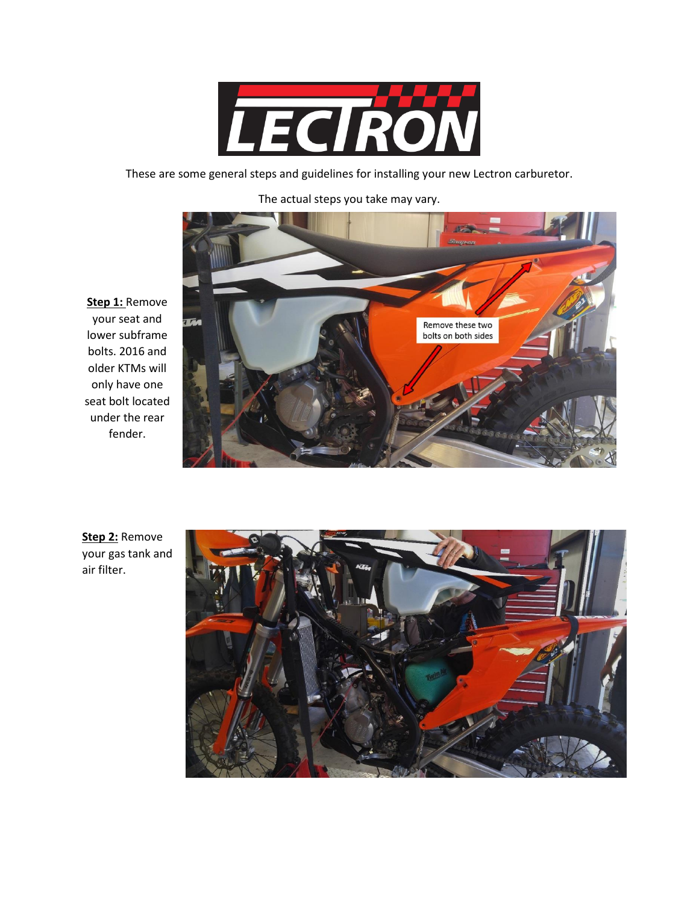

These are some general steps and guidelines for installing your new Lectron carburetor.

The actual steps you take may vary.



**Step 1:** Remove your seat and lower subframe bolts. 2016 and older KTMs will only have one seat bolt located under the rear fender.

**Step 2:** Remove your gas tank and air filter.

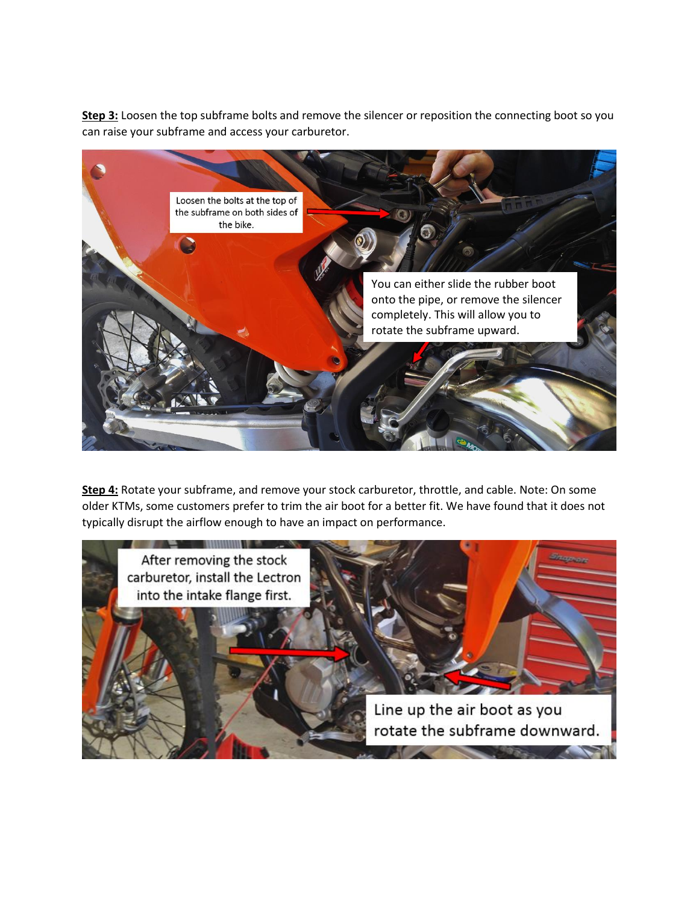**Step 3:** Loosen the top subframe bolts and remove the silencer or reposition the connecting boot so you can raise your subframe and access your carburetor.



**Step 4:** Rotate your subframe, and remove your stock carburetor, throttle, and cable. Note: On some older KTMs, some customers prefer to trim the air boot for a better fit. We have found that it does not typically disrupt the airflow enough to have an impact on performance.

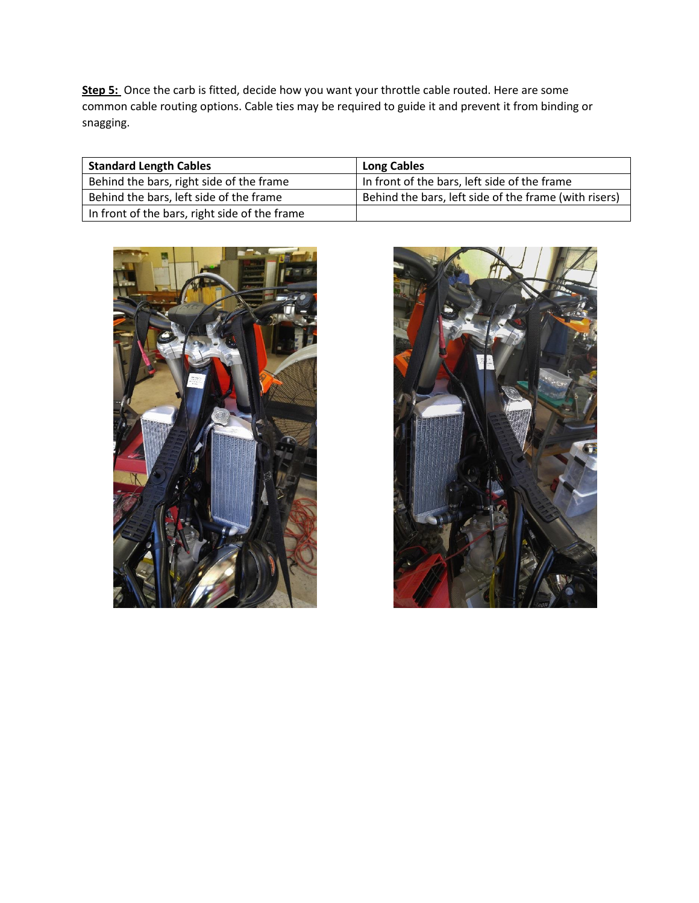**Step 5:** Once the carb is fitted, decide how you want your throttle cable routed. Here are some common cable routing options. Cable ties may be required to guide it and prevent it from binding or snagging.

| <b>Standard Length Cables</b>                 | <b>Long Cables</b>                                    |
|-----------------------------------------------|-------------------------------------------------------|
| Behind the bars, right side of the frame      | In front of the bars, left side of the frame          |
| Behind the bars, left side of the frame       | Behind the bars, left side of the frame (with risers) |
| In front of the bars, right side of the frame |                                                       |